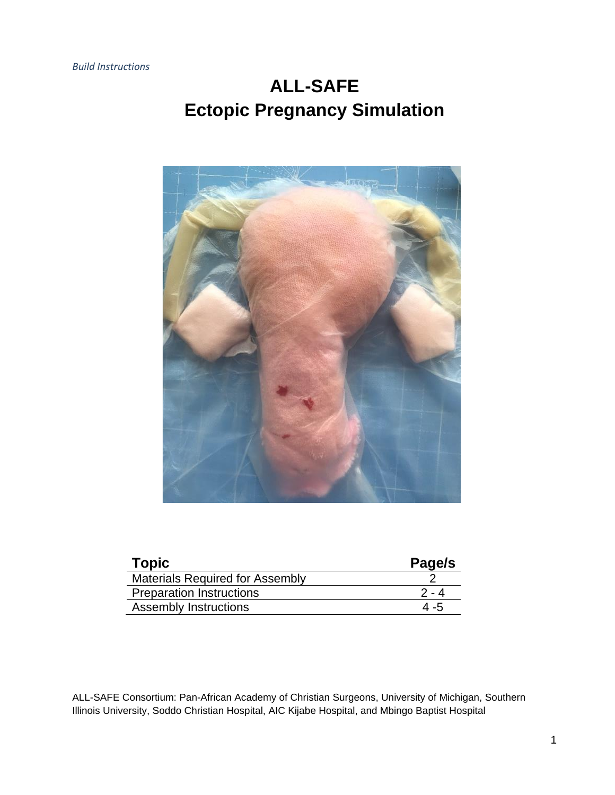# **ALL-SAFE Ectopic Pregnancy Simulation**



| <b>Topic</b>                           | Page/s |
|----------------------------------------|--------|
| <b>Materials Required for Assembly</b> |        |
| <b>Preparation Instructions</b>        | 2 - 4  |
| <b>Assembly Instructions</b>           | 4 -5   |
|                                        |        |

ALL-SAFE Consortium: Pan-African Academy of Christian Surgeons, University of Michigan, Southern Illinois University, Soddo Christian Hospital, AIC Kijabe Hospital, and Mbingo Baptist Hospital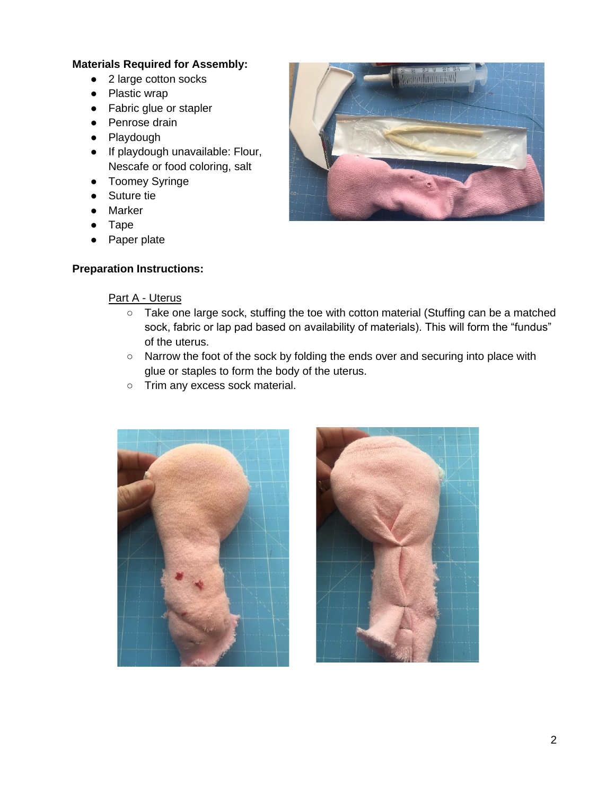#### **Materials Required for Assembly:**

- 2 large cotton socks
- Plastic wrap
- Fabric glue or stapler
- Penrose drain
- Playdough
- If playdough unavailable: Flour, Nescafe or food coloring, salt
- Toomey Syringe
- Suture tie
- Marker
- Tape
- Paper plate

## **Preparation Instructions:**



## Part A - Uterus

- Take one large sock, stuffing the toe with cotton material (Stuffing can be a matched sock, fabric or lap pad based on availability of materials). This will form the "fundus" of the uterus.
- Narrow the foot of the sock by folding the ends over and securing into place with glue or staples to form the body of the uterus.
- Trim any excess sock material.



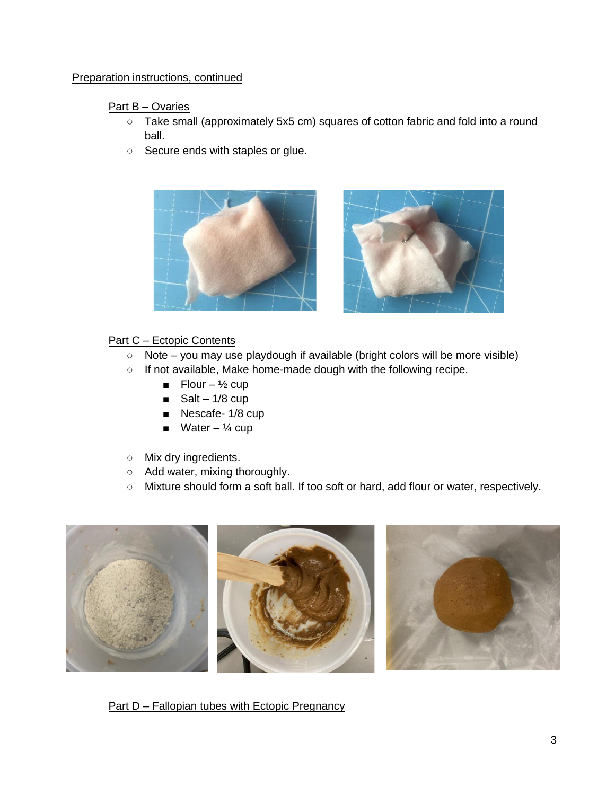#### Preparation instructions, continued

### Part B – Ovaries

- Take small (approximately 5x5 cm) squares of cotton fabric and fold into a round ball.
- Secure ends with staples or glue.





## Part C – Ectopic Contents

- Note you may use playdough if available (bright colors will be more visible)
- If not available, Make home-made dough with the following recipe.
	- Flour  $\frac{1}{2}$  cup
	- Salt  $1/8$  cup
	- Nescafe- 1/8 cup
	- Water  $\frac{1}{4}$  cup
- Mix dry ingredients.
- Add water, mixing thoroughly.
- Mixture should form a soft ball. If too soft or hard, add flour or water, respectively.



Part D – Fallopian tubes with Ectopic Pregnancy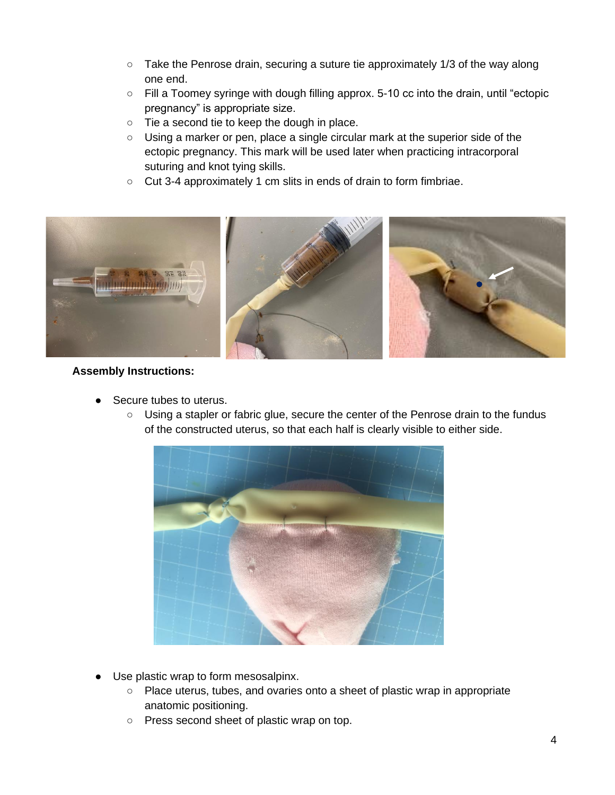- Take the Penrose drain, securing a suture tie approximately 1/3 of the way along one end.
- Fill a Toomey syringe with dough filling approx. 5-10 cc into the drain, until "ectopic pregnancy" is appropriate size.
- Tie a second tie to keep the dough in place.
- Using a marker or pen, place a single circular mark at the superior side of the ectopic pregnancy. This mark will be used later when practicing intracorporal suturing and knot tying skills.
- Cut 3-4 approximately 1 cm slits in ends of drain to form fimbriae.



#### **Assembly Instructions:**

- Secure tubes to uterus.
	- Using a stapler or fabric glue, secure the center of the Penrose drain to the fundus of the constructed uterus, so that each half is clearly visible to either side.



- Use plastic wrap to form mesosalpinx.
	- Place uterus, tubes, and ovaries onto a sheet of plastic wrap in appropriate anatomic positioning.
	- Press second sheet of plastic wrap on top.